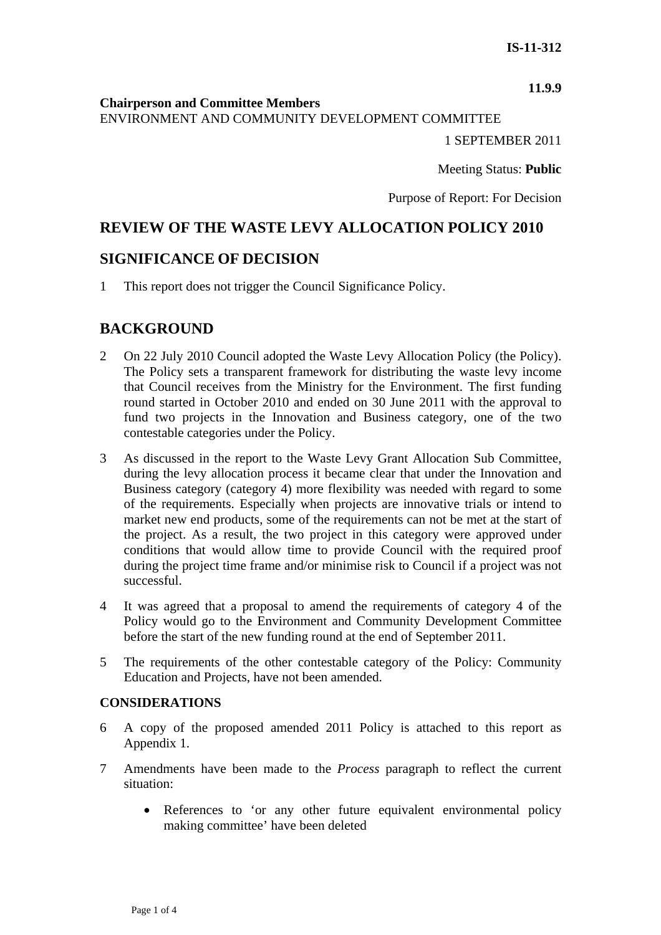#### **11.9.9**

**Chairperson and Committee Members**

ENVIRONMENT AND COMMUNITY DEVELOPMENT COMMITTEE

1 SEPTEMBER 2011

Meeting Status: **Public**

Purpose of Report: For Decision

# **REVIEW OF THE WASTE LEVY ALLOCATION POLICY 2010**

## **SIGNIFICANCE OF DECISION**

1 This report does not trigger the Council Significance Policy.

## **BACKGROUND**

- 2 On 22 July 2010 Council adopted the Waste Levy Allocation Policy (the Policy). The Policy sets a transparent framework for distributing the waste levy income that Council receives from the Ministry for the Environment. The first funding round started in October 2010 and ended on 30 June 2011 with the approval to fund two projects in the Innovation and Business category, one of the two contestable categories under the Policy.
- 3 As discussed in the report to the Waste Levy Grant Allocation Sub Committee, during the levy allocation process it became clear that under the Innovation and Business category (category 4) more flexibility was needed with regard to some of the requirements. Especially when projects are innovative trials or intend to market new end products, some of the requirements can not be met at the start of the project. As a result, the two project in this category were approved under conditions that would allow time to provide Council with the required proof during the project time frame and/or minimise risk to Council if a project was not successful.
- 4 It was agreed that a proposal to amend the requirements of category 4 of the Policy would go to the Environment and Community Development Committee before the start of the new funding round at the end of September 2011.
- 5 The requirements of the other contestable category of the Policy: Community Education and Projects, have not been amended.

### **CONSIDERATIONS**

- 6 A copy of the proposed amended 2011 Policy is attached to this report as Appendix 1.
- 7 Amendments have been made to the *Process* paragraph to reflect the current situation:
	- References to 'or any other future equivalent environmental policy making committee' have been deleted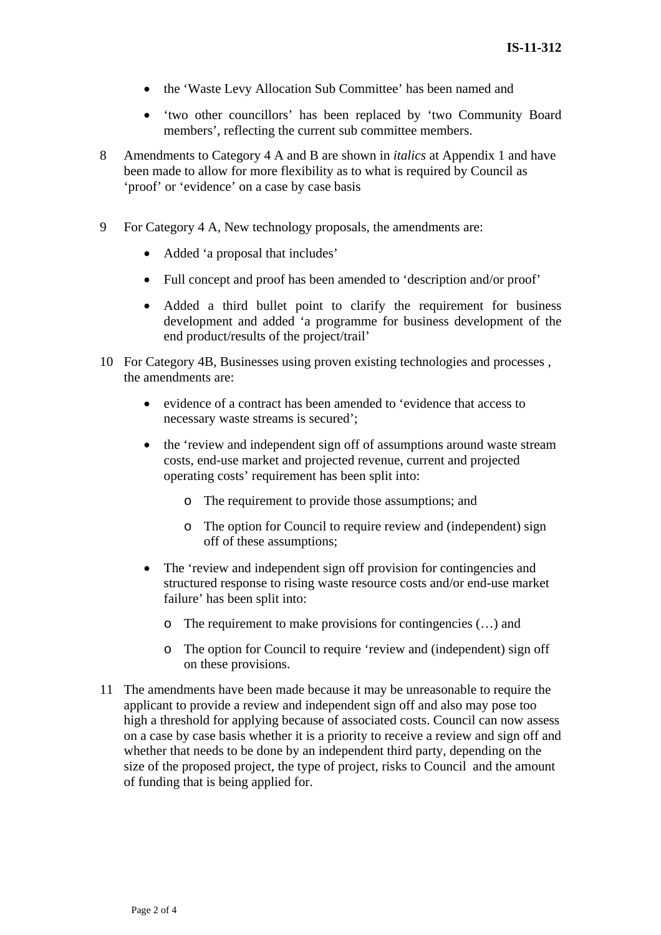- the 'Waste Levy Allocation Sub Committee' has been named and
- 'two other councillors' has been replaced by 'two Community Board members', reflecting the current sub committee members.
- 8 Amendments to Category 4 A and B are shown in *italics* at Appendix 1 and have been made to allow for more flexibility as to what is required by Council as 'proof' or 'evidence' on a case by case basis
- 9 For Category 4 A, New technology proposals, the amendments are:
	- Added 'a proposal that includes'
	- Full concept and proof has been amended to 'description and/or proof'
	- Added a third bullet point to clarify the requirement for business development and added 'a programme for business development of the end product/results of the project/trail'
- 10 For Category 4B, Businesses using proven existing technologies and processes , the amendments are:
	- evidence of a contract has been amended to 'evidence that access to necessary waste streams is secured';
	- the 'review and independent sign off of assumptions around waste stream costs, end-use market and projected revenue, current and projected operating costs' requirement has been split into:
		- o The requirement to provide those assumptions; and
		- o The option for Council to require review and (independent) sign off of these assumptions;
	- The 'review and independent sign off provision for contingencies and structured response to rising waste resource costs and/or end-use market failure' has been split into:
		- o The requirement to make provisions for contingencies (…) and
		- o The option for Council to require 'review and (independent) sign off on these provisions.
- 11 The amendments have been made because it may be unreasonable to require the applicant to provide a review and independent sign off and also may pose too high a threshold for applying because of associated costs. Council can now assess on a case by case basis whether it is a priority to receive a review and sign off and whether that needs to be done by an independent third party, depending on the size of the proposed project, the type of project, risks to Council and the amount of funding that is being applied for.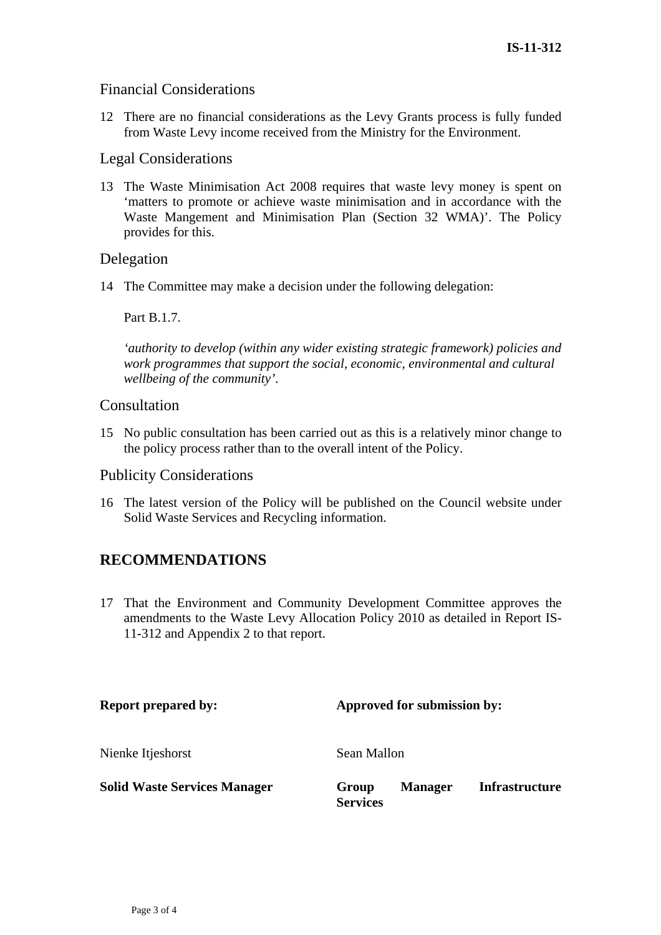### Financial Considerations

12 There are no financial considerations as the Levy Grants process is fully funded from Waste Levy income received from the Ministry for the Environment.

#### Legal Considerations

13 The Waste Minimisation Act 2008 requires that waste levy money is spent on 'matters to promote or achieve waste minimisation and in accordance with the Waste Mangement and Minimisation Plan (Section 32 WMA)'. The Policy provides for this.

### Delegation

14 The Committee may make a decision under the following delegation:

Part B.1.7.

*'authority to develop (within any wider existing strategic framework) policies and work programmes that support the social, economic, environmental and cultural wellbeing of the community'*.

#### Consultation

15 No public consultation has been carried out as this is a relatively minor change to the policy process rather than to the overall intent of the Policy.

#### Publicity Considerations

16 The latest version of the Policy will be published on the Council website under Solid Waste Services and Recycling information.

## **RECOMMENDATIONS**

17 That the Environment and Community Development Committee approves the amendments to the Waste Levy Allocation Policy 2010 as detailed in Report IS-11-312 and Appendix 2 to that report.

| <b>Report prepared by:</b>          | Approved for submission by: |                |                       |
|-------------------------------------|-----------------------------|----------------|-----------------------|
| Nienke Itjeshorst                   | Sean Mallon                 |                |                       |
| <b>Solid Waste Services Manager</b> | Group<br><b>Services</b>    | <b>Manager</b> | <b>Infrastructure</b> |